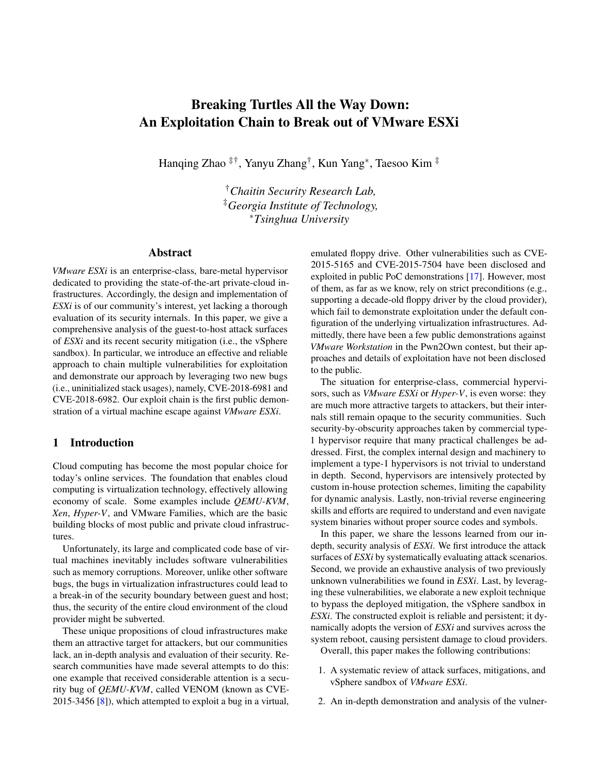# Breaking Turtles All the Way Down: An Exploitation Chain to Break out of VMware ESXi

Hanqing Zhao ‡†, Yanyu Zhang† , Kun Yang<sup>∗</sup> , Taesoo Kim ‡

†*Chaitin Security Research Lab,* ‡*Georgia Institute of Technology,* <sup>∗</sup>*Tsinghua University*

### Abstract

*VMware ESXi* is an enterprise-class, bare-metal hypervisor dedicated to providing the state-of-the-art private-cloud infrastructures. Accordingly, the design and implementation of *ESXi* is of our community's interest, yet lacking a thorough evaluation of its security internals. In this paper, we give a comprehensive analysis of the guest-to-host attack surfaces of *ESXi* and its recent security mitigation (i.e., the vSphere sandbox). In particular, we introduce an effective and reliable approach to chain multiple vulnerabilities for exploitation and demonstrate our approach by leveraging two new bugs (i.e., uninitialized stack usages), namely, CVE-2018-6981 and CVE-2018-6982. Our exploit chain is the first public demonstration of a virtual machine escape against *VMware ESXi*.

#### 1 Introduction

Cloud computing has become the most popular choice for today's online services. The foundation that enables cloud computing is virtualization technology, effectively allowing economy of scale. Some examples include *QEMU-KVM*, *Xen*, *Hyper-V*, and VMware Families, which are the basic building blocks of most public and private cloud infrastructures.

Unfortunately, its large and complicated code base of virtual machines inevitably includes software vulnerabilities such as memory corruptions. Moreover, unlike other software bugs, the bugs in virtualization infrastructures could lead to a break-in of the security boundary between guest and host; thus, the security of the entire cloud environment of the cloud provider might be subverted.

These unique propositions of cloud infrastructures make them an attractive target for attackers, but our communities lack, an in-depth analysis and evaluation of their security. Research communities have made several attempts to do this: one example that received considerable attention is a security bug of *QEMU-KVM*, called VENOM (known as CVE-2015-3456 [\[8\]](#page-8-0)), which attempted to exploit a bug in a virtual, emulated floppy drive. Other vulnerabilities such as CVE-2015-5165 and CVE-2015-7504 have been disclosed and exploited in public PoC demonstrations [\[17\]](#page-8-1). However, most of them, as far as we know, rely on strict preconditions (e.g., supporting a decade-old floppy driver by the cloud provider), which fail to demonstrate exploitation under the default configuration of the underlying virtualization infrastructures. Admittedly, there have been a few public demonstrations against *VMware Workstation* in the Pwn2Own contest, but their approaches and details of exploitation have not been disclosed to the public.

The situation for enterprise-class, commercial hypervisors, such as *VMware ESXi* or *Hyper-V*, is even worse: they are much more attractive targets to attackers, but their internals still remain opaque to the security communities. Such security-by-obscurity approaches taken by commercial type-1 hypervisor require that many practical challenges be addressed. First, the complex internal design and machinery to implement a type-1 hypervisors is not trivial to understand in depth. Second, hypervisors are intensively protected by custom in-house protection schemes, limiting the capability for dynamic analysis. Lastly, non-trivial reverse engineering skills and efforts are required to understand and even navigate system binaries without proper source codes and symbols.

In this paper, we share the lessons learned from our indepth, security analysis of *ESXi*. We first introduce the attack surfaces of *ESXi* by systematically evaluating attack scenarios. Second, we provide an exhaustive analysis of two previously unknown vulnerabilities we found in *ESXi*. Last, by leveraging these vulnerabilities, we elaborate a new exploit technique to bypass the deployed mitigation, the vSphere sandbox in *ESXi*. The constructed exploit is reliable and persistent; it dynamically adopts the version of *ESXi* and survives across the system reboot, causing persistent damage to cloud providers.

Overall, this paper makes the following contributions:

- 1. A systematic review of attack surfaces, mitigations, and vSphere sandbox of *VMware ESXi*.
- 2. An in-depth demonstration and analysis of the vulner-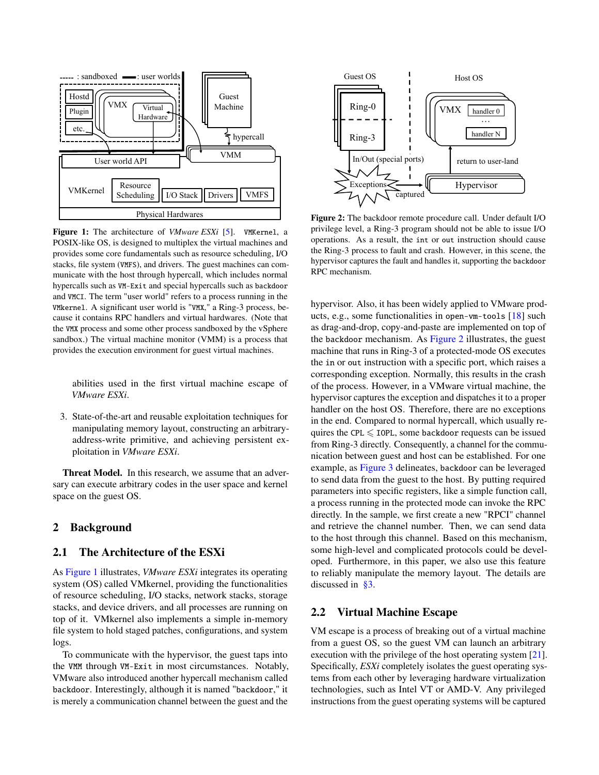<span id="page-1-0"></span>

Figure 1: The architecture of *VMware ESXi* [\[5\]](#page-8-2). VMKernel, a POSIX-like OS, is designed to multiplex the virtual machines and provides some core fundamentals such as resource scheduling, I/O stacks, file system (VMFS), and drivers. The guest machines can communicate with the host through hypercall, which includes normal hypercalls such as VM-Exit and special hypercalls such as backdoor and VMCI. The term "user world" refers to a process running in the VMkernel. A significant user world is "VMX," a Ring-3 process, because it contains RPC handlers and virtual hardwares. (Note that the VMX process and some other process sandboxed by the vSphere sandbox.) The virtual machine monitor (VMM) is a process that provides the execution environment for guest virtual machines.

abilities used in the first virtual machine escape of *VMware ESXi*.

3. State-of-the-art and reusable exploitation techniques for manipulating memory layout, constructing an arbitraryaddress-write primitive, and achieving persistent exploitation in *VMware ESXi*.

Threat Model. In this research, we assume that an adversary can execute arbitrary codes in the user space and kernel space on the guest OS.

## 2 Background

#### 2.1 The Architecture of the ESXi

As [Figure 1](#page-1-0) illustrates, *VMware ESXi* integrates its operating system (OS) called VMkernel, providing the functionalities of resource scheduling, I/O stacks, network stacks, storage stacks, and device drivers, and all processes are running on top of it. VMkernel also implements a simple in-memory file system to hold staged patches, configurations, and system logs.

To communicate with the hypervisor, the guest taps into the VMM through VM-Exit in most circumstances. Notably, VMware also introduced another hypercall mechanism called backdoor. Interestingly, although it is named "backdoor," it is merely a communication channel between the guest and the

<span id="page-1-1"></span>

Figure 2: The backdoor remote procedure call. Under default I/O privilege level, a Ring-3 program should not be able to issue I/O operations. As a result, the int or out instruction should cause the Ring-3 process to fault and crash. However, in this scene, the hypervisor captures the fault and handles it, supporting the backdoor RPC mechanism.

hypervisor. Also, it has been widely applied to VMware products, e.g., some functionalities in open-vm-tools [\[18\]](#page-8-3) such as drag-and-drop, copy-and-paste are implemented on top of the backdoor mechanism. As [Figure 2](#page-1-1) illustrates, the guest machine that runs in Ring-3 of a protected-mode OS executes the in or out instruction with a specific port, which raises a corresponding exception. Normally, this results in the crash of the process. However, in a VMware virtual machine, the hypervisor captures the exception and dispatches it to a proper handler on the host OS. Therefore, there are no exceptions in the end. Compared to normal hypercall, which usually requires the CPL  $\leq$  IOPL, some backdoor requests can be issued from Ring-3 directly. Consequently, a channel for the communication between guest and host can be established. For one example, as [Figure 3](#page-2-0) delineates, backdoor can be leveraged to send data from the guest to the host. By putting required parameters into specific registers, like a simple function call, a process running in the protected mode can invoke the RPC directly. In the sample, we first create a new "RPCI" channel and retrieve the channel number. Then, we can send data to the host through this channel. Based on this mechanism, some high-level and complicated protocols could be developed. Furthermore, in this paper, we also use this feature to reliably manipulate the memory layout. The details are discussed in [§3.](#page-3-0)

#### 2.2 Virtual Machine Escape

VM escape is a process of breaking out of a virtual machine from a guest OS, so the guest VM can launch an arbitrary execution with the privilege of the host operating system [\[21\]](#page-8-4). Specifically, *ESXi* completely isolates the guest operating systems from each other by leveraging hardware virtualization technologies, such as Intel VT or AMD-V. Any privileged instructions from the guest operating systems will be captured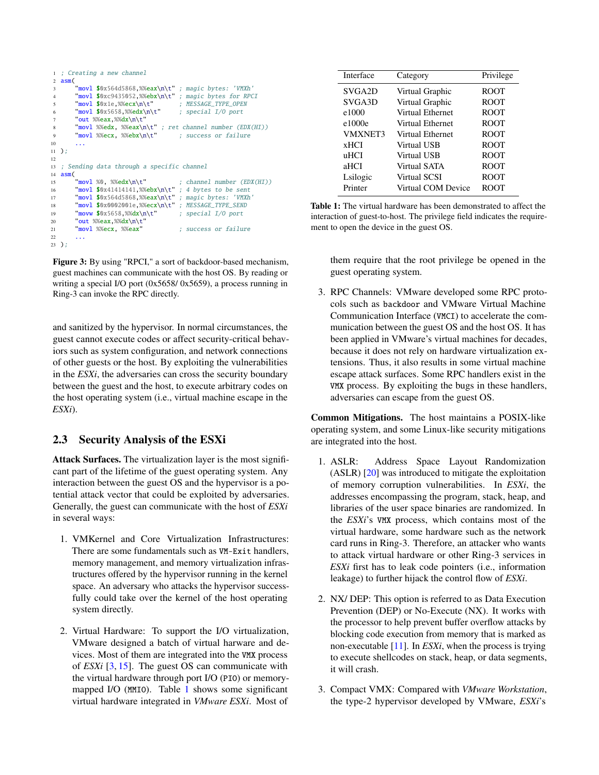```
1 ; Creating a new channel
2 a \sin(\theta)3 "movl $0x564d5868,%%eax\n\t" ; magic bytes: 'VMXh'
4 "movl $0xc9435052,%%ebx\n\t" ; magic bytes for RPCI
5 "movl $0x1e,%%ecx\n\t" ; MESSAGE_TYPE_OPEN<br>6 "movl $0x5658.%%edx\n\t" ; special I/O port
6 \text{movl } $0x5658, %84x\nu t"7 "out %%eax,%%dx\n\t"
8 "movl %%edx, %%eax\n\t" ; ret channel number (EDX(HI))<br>9 "movl %%ecx, %%ebx\n\t" ; success or failure
9 \frac{1}{2} % \frac{2}{2} % \frac{2}{2} % \frac{2}{2} % \frac{2}{2} % \frac{2}{2} % \frac{2}{2} % \frac{2}{2} \frac{2}{2} \frac{2}{2} \frac{2}{2} \frac{2}{2} \frac{2}{2} \frac{2}{2} \frac{2}{2} \frac{2}{2} \frac{2}{2} \frac{2}{2} \frac{2}{2} \frac{2}{2} \frac{210<sup>10</sup>11 );
12
13 ; Sending data through a specific channel
14 asm(15 "movl %0, %%edx\n\t" ; channel number (EDX(HI))
16 \frac{1}{16} "movl \sqrt{30x41414141}, \frac{6}{x^2} \frac{1}{x^3} ; 4 bytes to be sent
17 "movl $0x564d5868,%%eax\n\t" ; magic bytes: 'VMXh'
18 "movl $0x0002001e,%%ecx\n\t"; MESSAGE_TYPE_SEND
19 "movw $0x5658, %%dx\n\t" ; special I/O port
20 0ut %%eax.%%dx\n\t
21 "movl %%ecx, %%eax" ; success or failure
22
23 );
```
Figure 3: By using "RPCI," a sort of backdoor-based mechanism, guest machines can communicate with the host OS. By reading or writing a special I/O port (0x5658/ 0x5659), a process running in Ring-3 can invoke the RPC directly.

and sanitized by the hypervisor. In normal circumstances, the guest cannot execute codes or affect security-critical behaviors such as system configuration, and network connections of other guests or the host. By exploiting the vulnerabilities in the *ESXi*, the adversaries can cross the security boundary between the guest and the host, to execute arbitrary codes on the host operating system (i.e., virtual machine escape in the *ESXi*).

## 2.3 Security Analysis of the ESXi

Attack Surfaces. The virtualization layer is the most significant part of the lifetime of the guest operating system. Any interaction between the guest OS and the hypervisor is a potential attack vector that could be exploited by adversaries. Generally, the guest can communicate with the host of *ESXi* in several ways:

- 1. VMKernel and Core Virtualization Infrastructures: There are some fundamentals such as VM-Exit handlers, memory management, and memory virtualization infrastructures offered by the hypervisor running in the kernel space. An adversary who attacks the hypervisor successfully could take over the kernel of the host operating system directly.
- 2. Virtual Hardware: To support the I/O virtualization, VMware designed a batch of virtual harware and devices. Most of them are integrated into the VMX process of *ESXi* [\[3,](#page-8-5) [15\]](#page-8-6). The guest OS can communicate with the virtual hardware through port I/O (PIO) or memorymapped I/O (MMIO). Table [1](#page-2-1) shows some significant virtual hardware integrated in *VMware ESXi*. Most of

<span id="page-2-1"></span>

| Interface           | Category           | Privilege   |
|---------------------|--------------------|-------------|
| SVGA <sub>2</sub> D | Virtual Graphic    | ROOT        |
| SVGA3D              | Virtual Graphic    | <b>ROOT</b> |
| e1000               | Virtual Ethernet   | <b>ROOT</b> |
| e1000e              | Virtual Ethernet   | <b>ROOT</b> |
| <b>VMXNET3</b>      | Virtual Ethernet   | <b>ROOT</b> |
| <b>xHCI</b>         | Virtual USB        | <b>ROOT</b> |
| uHCI                | Virtual USB        | <b>ROOT</b> |
| aHCI                | Virtual SATA       | <b>ROOT</b> |
| Lsilogic            | Virtual SCSI       | <b>ROOT</b> |
| Printer             | Virtual COM Device | <b>ROOT</b> |

Table 1: The virtual hardware has been demonstrated to affect the interaction of guest-to-host. The privilege field indicates the requirement to open the device in the guest OS.

them require that the root privilege be opened in the guest operating system.

3. RPC Channels: VMware developed some RPC protocols such as backdoor and VMware Virtual Machine Communication Interface (VMCI) to accelerate the communication between the guest OS and the host OS. It has been applied in VMware's virtual machines for decades, because it does not rely on hardware virtualization extensions. Thus, it also results in some virtual machine escape attack surfaces. Some RPC handlers exist in the VMX process. By exploiting the bugs in these handlers, adversaries can escape from the guest OS.

Common Mitigations. The host maintains a POSIX-like operating system, and some Linux-like security mitigations are integrated into the host.

- 1. ASLR: Address Space Layout Randomization (ASLR) [\[20\]](#page-8-7) was introduced to mitigate the exploitation of memory corruption vulnerabilities. In *ESXi*, the addresses encompassing the program, stack, heap, and libraries of the user space binaries are randomized. In the *ESXi*'s VMX process, which contains most of the virtual hardware, some hardware such as the network card runs in Ring-3. Therefore, an attacker who wants to attack virtual hardware or other Ring-3 services in *ESXi* first has to leak code pointers (i.e., information leakage) to further hijack the control flow of *ESXi*.
- 2. NX/ DEP: This option is referred to as Data Execution Prevention (DEP) or No-Execute (NX). It works with the processor to help prevent buffer overflow attacks by blocking code execution from memory that is marked as non-executable [\[11\]](#page-8-8). In *ESXi*, when the process is trying to execute shellcodes on stack, heap, or data segments, it will crash.
- 3. Compact VMX: Compared with *VMware Workstation*, the type-2 hypervisor developed by VMware, *ESXi*'s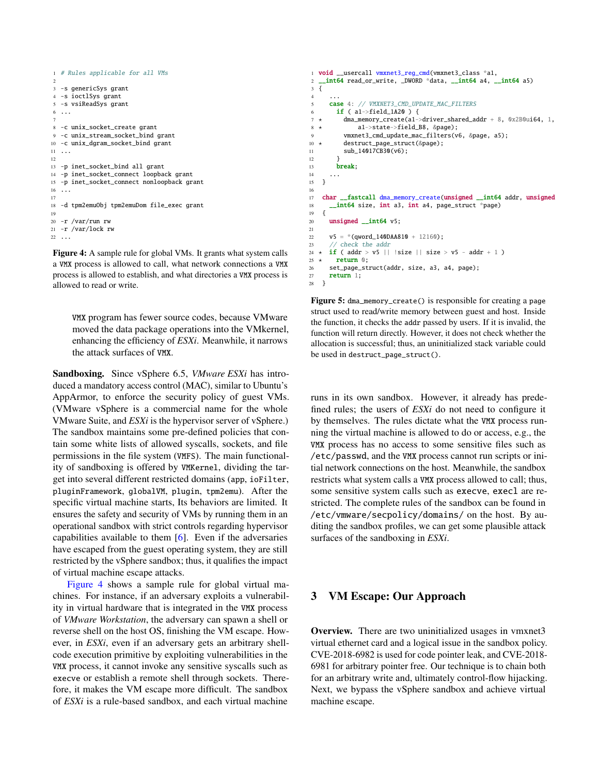```
1 # Rules applicable for all VMs
\overline{2}3 -s genericSys grant
4 -s ioctlSys grant
5 -s vsiReadSys grant
6 ...
 7
8 -c unix_socket_create grant
9 -c unix_stream_socket_bind grant
10 -c unix_dgram_socket_bind grant
11 \ldots12
13 -p inet_socket_bind all grant
14 -p inet_socket_connect loopback grant
15 -p inet_socket_connect nonloopback grant
16 \ldots17
18 -d tpm2emuObj tpm2emuDom file_exec grant
19
20 -r /var/run rw
21 -r /var/lock rw
22
```
Figure 4: A sample rule for global VMs. It grants what system calls a VMX process is allowed to call, what network connections a VMX process is allowed to establish, and what directories a VMX process is allowed to read or write.

VMX program has fewer source codes, because VMware moved the data package operations into the VMkernel, enhancing the efficiency of *ESXi*. Meanwhile, it narrows the attack surfaces of VMX.

Sandboxing. Since vSphere 6.5, *VMware ESXi* has introduced a mandatory access control (MAC), similar to Ubuntu's AppArmor, to enforce the security policy of guest VMs. (VMware vSphere is a commercial name for the whole VMware Suite, and *ESXi* is the hypervisor server of vSphere.) The sandbox maintains some pre-defined policies that contain some white lists of allowed syscalls, sockets, and file permissions in the file system (VMFS). The main functionality of sandboxing is offered by VMKernel, dividing the target into several different restricted domains (app, ioFilter, pluginFramework, globalVM, plugin, tpm2emu). After the specific virtual machine starts, Its behaviors are limited. It ensures the safety and security of VMs by running them in an operational sandbox with strict controls regarding hypervisor capabilities available to them [\[6\]](#page-8-9). Even if the adversaries have escaped from the guest operating system, they are still restricted by the vSphere sandbox; thus, it qualifies the impact of virtual machine escape attacks.

[Figure 4](#page-3-1) shows a sample rule for global virtual machines. For instance, if an adversary exploits a vulnerability in virtual hardware that is integrated in the VMX process of *VMware Workstation*, the adversary can spawn a shell or reverse shell on the host OS, finishing the VM escape. However, in *ESXi*, even if an adversary gets an arbitrary shellcode execution primitive by exploiting vulnerabilities in the VMX process, it cannot invoke any sensitive syscalls such as execve or establish a remote shell through sockets. Therefore, it makes the VM escape more difficult. The sandbox of *ESXi* is a rule-based sandbox, and each virtual machine

```
1 void __usercall vmxnet3_reg_cmd(vmxnet3_class *a1,
2 __int64 read_or_write, _DWORD *data, __int64 a4, __int64 a5)
3 {
 4 ...
5 case 4: // VMXNET3_CMD_UPDATE_MAC_FILTERS
6 if (a1 \rightarrow field_1A20) {
7 \times dma memory create(a1->driver shared addr + 8, 0x2B0ui64, 1,
8 ⋆ a1->state->field_B8, &page);
9 vmxnet3_cmd_update_mac_filters(v6, &page, a5);
10 \times destruct page struct(&page):
11 sub_14017CB30(v6);
12 }
13 break;
14 ...
15 }
16
17 char __fastcall dma_memory_create(unsigned __int64 addr, unsigned
18 __int64 size, int a3, int a4, page_struct *page)
19 {
20 unsigned int64 v5:
21v5 = *(qword_140DAA810 + 12160);
23 // check the addr
24 \times \textbf{if} ( addr > v5 || !size || size > v5 - addr + 1 )
25 \star return 0:
26 set_page_struct(addr, size, a3, a4, page);
27 return 1;
28 }
```
Figure 5: dma\_memory\_create() is responsible for creating a page struct used to read/write memory between guest and host. Inside the function, it checks the addr passed by users. If it is invalid, the function will return directly. However, it does not check whether the allocation is successful; thus, an uninitialized stack variable could be used in destruct\_page\_struct().

runs in its own sandbox. However, it already has predefined rules; the users of *ESXi* do not need to configure it by themselves. The rules dictate what the VMX process running the virtual machine is allowed to do or access, e.g., the VMX process has no access to some sensitive files such as /etc/passwd, and the VMX process cannot run scripts or initial network connections on the host. Meanwhile, the sandbox restricts what system calls a VMX process allowed to call; thus, some sensitive system calls such as execve, execl are restricted. The complete rules of the sandbox can be found in /etc/vmware/secpolicy/domains/ on the host. By auditing the sandbox profiles, we can get some plausible attack surfaces of the sandboxing in *ESXi*.

### <span id="page-3-0"></span>3 VM Escape: Our Approach

Overview. There are two uninitialized usages in vmxnet3 virtual ethernet card and a logical issue in the sandbox policy. CVE-2018-6982 is used for code pointer leak, and CVE-2018- 6981 for arbitrary pointer free. Our technique is to chain both for an arbitrary write and, ultimately control-flow hijacking. Next, we bypass the vSphere sandbox and achieve virtual machine escape.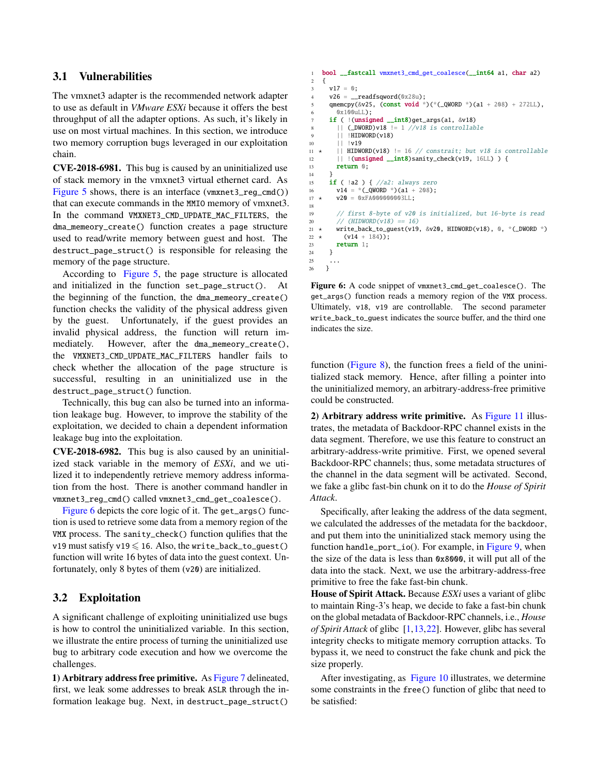### 3.1 Vulnerabilities

The vmxnet3 adapter is the recommended network adapter to use as default in *VMware ESXi* because it offers the best throughput of all the adapter options. As such, it's likely in use on most virtual machines. In this section, we introduce two memory corruption bugs leveraged in our exploitation chain.

CVE-2018-6981. This bug is caused by an uninitialized use of stack memory in the vmxnet3 virtual ethernet card. As [Figure 5](#page-3-2) shows, there is an interface (vmxnet3\_reg\_cmd()) that can execute commands in the MMIO memory of vmxnet3. In the command VMXNET3\_CMD\_UPDATE\_MAC\_FILTERS, the dma\_memeory\_create() function creates a page structure used to read/write memory between guest and host. The destruct\_page\_struct() is responsible for releasing the memory of the page structure.

According to [Figure 5,](#page-3-2) the page structure is allocated and initialized in the function set\_page\_struct(). At the beginning of the function, the dma\_memeory\_create() function checks the validity of the physical address given by the guest. Unfortunately, if the guest provides an invalid physical address, the function will return immediately. However, after the dma\_memeory\_create(), the VMXNET3\_CMD\_UPDATE\_MAC\_FILTERS handler fails to check whether the allocation of the page structure is successful, resulting in an uninitialized use in the destruct\_page\_struct() function.

Technically, this bug can also be turned into an information leakage bug. However, to improve the stability of the exploitation, we decided to chain a dependent information leakage bug into the exploitation.

CVE-2018-6982. This bug is also caused by an uninitialized stack variable in the memory of *ESXi*, and we utilized it to independently retrieve memory address information from the host. There is another command handler in vmxnet3\_reg\_cmd() called vmxnet3\_cmd\_get\_coalesce().

[Figure 6](#page-4-0) depicts the core logic of it. The get\_args() function is used to retrieve some data from a memory region of the VMX process. The sanity\_check() function qulifies that the v19 must satisfy v19  $\leq$  16. Also, the write\_back\_to\_guest() function will write 16 bytes of data into the guest context. Unfortunately, only 8 bytes of them (v20) are initialized.

### 3.2 Exploitation

A significant challenge of exploiting uninitialized use bugs is how to control the uninitialized variable. In this section, we illustrate the entire process of turning the uninitialized use bug to arbitrary code execution and how we overcome the challenges.

1) Arbitrary address free primitive. As [Figure 7](#page-5-0) delineated, first, we leak some addresses to break ASLR through the information leakage bug. Next, in destruct\_page\_struct()

```
1 bool __fastcall vmxnet3_cmd_get_coalesce(__int64 a1, char a2)
2 \frac{1}{2}3 \text{ v17} = 0:
 4 \text{ v26} = \text{readfsqword}(0 \times 28u);5 qmemcpy(&v25, (const void *)(*(_QWORD *)(a1 + 208) + 272LL),
       0x100uLL);
     if ( !(unsigned __int8)get_args(a1, &v18)
8 || (_DWORD)v18 \vert = 1 //v18 is controllable
9 || !HIDWORD(v18)
10 || !v19
11 \star || HIDWORD(v18) != 16 // constrait; but v18 is controllable
12 || !(unsigned __int8)sanity_check(v19, 16LL) ) {
13 return 0;
14 }
15 if ( |a2) { //a2: always zero
16 v14 = *(_QWORD *)(a1 + 208);
17 * v20 = 0xFA000000003LL;
18
19 // first 8-byte of v20 is initialized, but 16-byte is read
20 // (HIDWORD(v18) == 16)21 \star write_back_to_guest(v19, &v20, HIDWORD(v18), 0, *(_DWORD *)
22 \star (v14 + 184));
23 return 1;
24 }
25 ...
26 }
```
Figure 6: A code snippet of vmxnet3\_cmd\_get\_coalesce(). The get\_args() function reads a memory region of the VMX process. Ultimately, v18, v19 are controllable. The second parameter write\_back\_to\_guest indicates the source buffer, and the third one indicates the size.

function [\(Figure 8\)](#page-5-1), the function frees a field of the uninitialized stack memory. Hence, after filling a pointer into the uninitialized memory, an arbitrary-address-free primitive could be constructed.

2) Arbitrary address write primitive. As [Figure 11](#page-6-0) illustrates, the metadata of Backdoor-RPC channel exists in the data segment. Therefore, we use this feature to construct an arbitrary-address-write primitive. First, we opened several Backdoor-RPC channels; thus, some metadata structures of the channel in the data segment will be activated. Second, we fake a glibc fast-bin chunk on it to do the *House of Spirit Attack*.

Specifically, after leaking the address of the data segment, we calculated the addresses of the metadata for the backdoor, and put them into the uninitialized stack memory using the function handle\_port\_io(). For example, in [Figure 9,](#page-5-2) when the size of the data is less than 0x8000, it will put all of the data into the stack. Next, we use the arbitrary-address-free primitive to free the fake fast-bin chunk.

House of Spirit Attack. Because *ESXi* uses a variant of glibc to maintain Ring-3's heap, we decide to fake a fast-bin chunk on the global metadata of Backdoor-RPC channels, i.e., *House of Spirit Attack* of glibc [\[1](#page-8-10)[,13,](#page-8-11)[22\]](#page-8-12). However, glibc has several integrity checks to mitigate memory corruption attacks. To bypass it, we need to construct the fake chunk and pick the size properly.

After investigating, as [Figure 10](#page-6-1) illustrates, we determine some constraints in the free() function of glibc that need to be satisfied: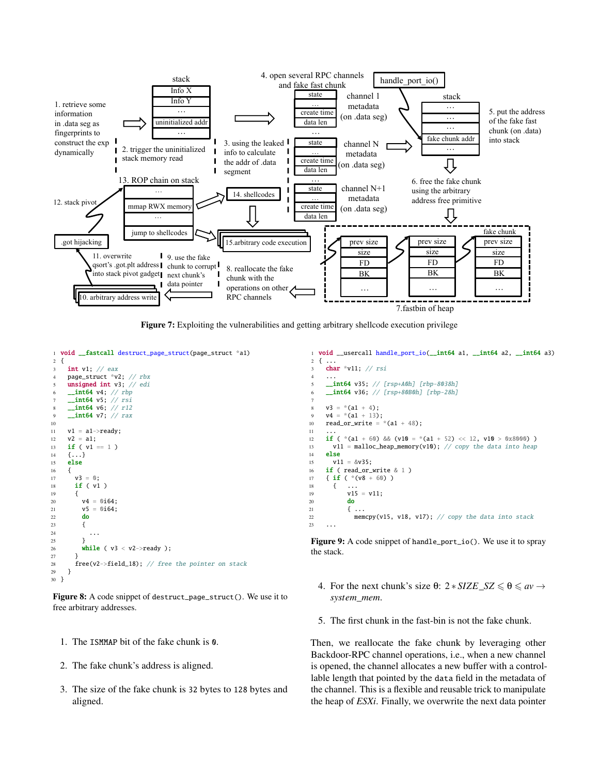<span id="page-5-0"></span>

Figure 7: Exploiting the vulnerabilities and getting arbitrary shellcode execution privilege

```
1 void __fastcall destruct_page_struct(page_struct *a1)
2 {
     int v1; // eax
4 page_struct *v2; // rbx
     unsigned int v3; // edi
       int64 v4; // rbp
     _int64 v5; // rsi
 8      __int64 v6; // r12<br>9     _int64 v7; // rax
10
11 v1 = a1->ready;
12 v2 = a1;<br>13 if (v1)if ( v1 == 1 )
\begin{array}{ccc} 14 & \{ \ldots \} \\ 15 & \textbf{else} \end{array}else
16 {<br>1717 v3 = 0;<br>
18 if ( v1if (vi)19 {
20 v4 = 0i64;
21 v5 = 0i64;<br>22 do
          22 do
23 {
24 ...
25 }
26 while (v3 < v2->ready);
27 }
28 free(v2->field_18); // free the pointer on stack
29 }
30 }
```
Figure 8: A code snippet of destruct\_page\_struct(). We use it to free arbitrary addresses.

- 1. The ISMMAP bit of the fake chunk is 0.
- 2. The fake chunk's address is aligned.
- 3. The size of the fake chunk is 32 bytes to 128 bytes and aligned.

```
1 void __usercall handle_port_io(__int64 a1, __int64 a2, __int64 a3)
   \{char *v11; // rsi
 4 ...
     __int64 v35; // [rsp+A0h] [rbp-8038h]
     \sqrt{2}int64 v36; // [rsp+80B0h] [rbp-28h]
 7
     v3 = * (a1 + 4);v4 = * (a1 + 13);10 read_or_write = *(a1 + 48);1112 if ( *(a1 + 60) & (v10 = *(a1 + 52) << 12, v10 > 0x8000))
13 v11 = malloc_heap_memory(v10); // copy the data into heap
14 else
15 v11 = 8v35;
16 if ( read_or_write & 1 )<br>17 { if ( *(v8 + 60) )
     { if ( *(v8 + 60) )
18 \{ \}v15 = v11;
20 do
\begin{array}{ccc} 21 & \text{f} & \text{...} \\ 22 & \text{men} \end{array}memcpy(v15, v18, v17); // copy the data into stack23 ...
```
Figure 9: A code snippet of handle\_port\_io(). We use it to spray the stack.

- 4. For the next chunk's size  $\theta$ :  $2 * SIZE\_SZ \le \theta \le av \rightarrow$ *system*\_*mem*.
- 5. The first chunk in the fast-bin is not the fake chunk.

Then, we reallocate the fake chunk by leveraging other Backdoor-RPC channel operations, i.e., when a new channel is opened, the channel allocates a new buffer with a controllable length that pointed by the data field in the metadata of the channel. This is a flexible and reusable trick to manipulate the heap of *ESXi*. Finally, we overwrite the next data pointer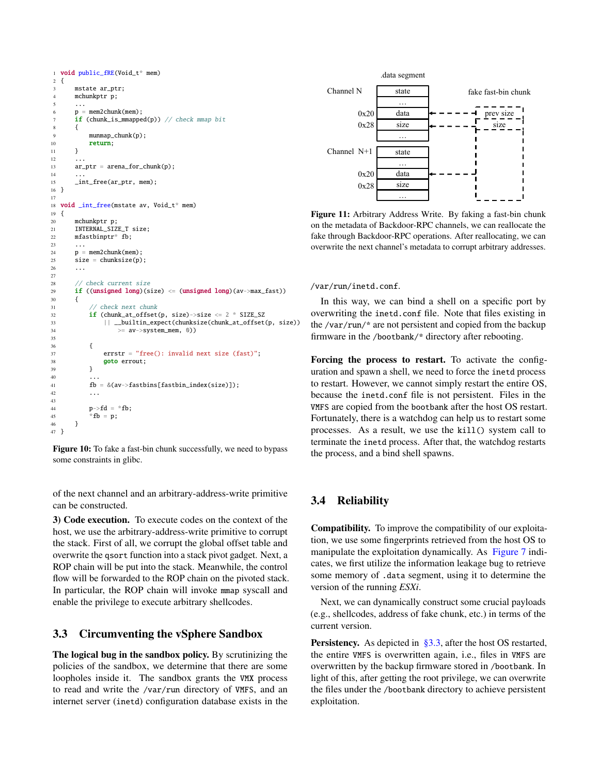```
1 void public_fRE(Void_t* mem)
2 \frac{1}{2}3 mstate ar_ptr;
4 mchunkptr p;
 5 \cdot \cdot \cdot\begin{array}{lll} 5 & \ldots \ 6 & \quad p = \text{mem2chunk}(\text{mem}) \; ; \end{array}if (chunk_is_mmapped(p)) // check mmap bit<br>8       {
8 {
9 munmap chunk(p):
10 return;
11 }
12 \quad . \quad . \quad .12 ...<br>13 ar_ptr = arena_for_chunk(p);
1415 __ int_free(ar_ptr, mem);
16 }
17
18 void _int_free(mstate av, Void_t* mem)
19 {
20 mchunkptr p;
21 INTERNAL SIZE T size:
22 mfastbinptr* fb;
23 ...
24 p = mem2chunk(mem);
25 size = chunksize(p);
26 ...
\frac{27}{28}// check current size
28 // Check Current Size<br>29 if ((unsigned long)(size) <= (unsigned long)(av->max_fast))
30 {
31 // check next chunk
32 if (chunk_at_offset(p, size)->size <= 2 * SIZE_SZ
33 || __builtin_expect(chunksize(chunk_at_offset(p, size))
\Rightarrow av->system_mem, 0))
35
\begin{matrix} 36 & 5 \end{matrix}37 errstr = "free(): invalid next size (fast)";<br>38 goto errout;
38 goto errout;
              \mathfrak{z}40 ...
41 fb = \&(av->fastbins[fastbin_index(size)]);
              42 ...
43
              p->fd = *fb;
45 *f b = p;
        \overline{4}47 }
                              Resource 
                            S(\mathbf{S}) is a set of \mathbf{S} or \mathbf{S} such \mathbf{S} such \mathbf{S} such \mathbf{S} such \mathbf{S} such \mathbf{S} such \mathbf{S} such \mathbf{S} such \mathbf{S} such \mathbf{S} such \mathbf{S} such \mathbf{S} such \mathbf{S} such \mathbf{Hostd
```
Figure 10: To fake a fast-bin chunk successfully, we need to bypass some constraints in glibc.

of the next channel and an arbitrary-address-write primitive can be constructed.

3) Code execution. To execute codes on the context of the host, we use the arbitrary-address-write primitive to corrupt the stack. First of all, we corrupt the global offset table and overwrite the qsort function into a stack pivot gadget. Next, a ROP chain will be put into the stack. Meanwhile, the control flow will be forwarded to the ROP chain on the pivoted stack. In particular, the ROP chain will invoke mmap syscall and enable the privilege to execute arbitrary shellcodes.

## <span id="page-6-2"></span>3.3 Circumventing the vSphere Sandbox

The logical bug in the sandbox policy. By scrutinizing the policies of the sandbox, we determine that there are some loopholes inside it. The sandbox grants the VMX process to read and write the /var/run directory of VMFS, and an internet server (inetd) configuration database exists in the

<span id="page-6-0"></span>

fake through Backdoor-RPC operations. After reallocating, we can Figure 11: Arbitrary Address Write. By faking a fast-bin chunk on the metadata of Backdoor-RPC channels, we can reallocate the overwrite the next channel's metadata to corrupt arbitrary addresses.

#### /var/run/inetd.conf.

In this way, we can bind a shell on a specific port by overwriting the inetd.conf file. Note that files existing in the /var/run/\* are not persistent and copied from the backup firmware in the /bootbank/\* directory after rebooting.

Forcing the process to restart. To activate the configuration and spawn a shell, we need to force the inetd process to restart. However, we cannot simply restart the entire OS, because the inetd.conf file is not persistent. Files in the VMFS are copied from the bootbank after the host OS restart. Fortunately, there is a watchdog can help us to restart some processes. As a result, we use the kill() system call to terminate the inetd process. After that, the watchdog restarts the process, and a bind shell spawns.

### 3.4 Reliability

Compatibility. To improve the compatibility of our exploitation, we use some fingerprints retrieved from the host OS to manipulate the exploitation dynamically. As [Figure 7](#page-5-0) indicates, we first utilize the information leakage bug to retrieve some memory of .data segment, using it to determine the version of the running *ESXi*.

Next, we can dynamically construct some crucial payloads (e.g., shellcodes, address of fake chunk, etc.) in terms of the current version.

Persistency. As depicted in [§3.3,](#page-6-2) after the host OS restarted, the entire VMFS is overwritten again, i.e., files in VMFS are overwritten by the backup firmware stored in /bootbank. In light of this, after getting the root privilege, we can overwrite the files under the /bootbank directory to achieve persistent exploitation.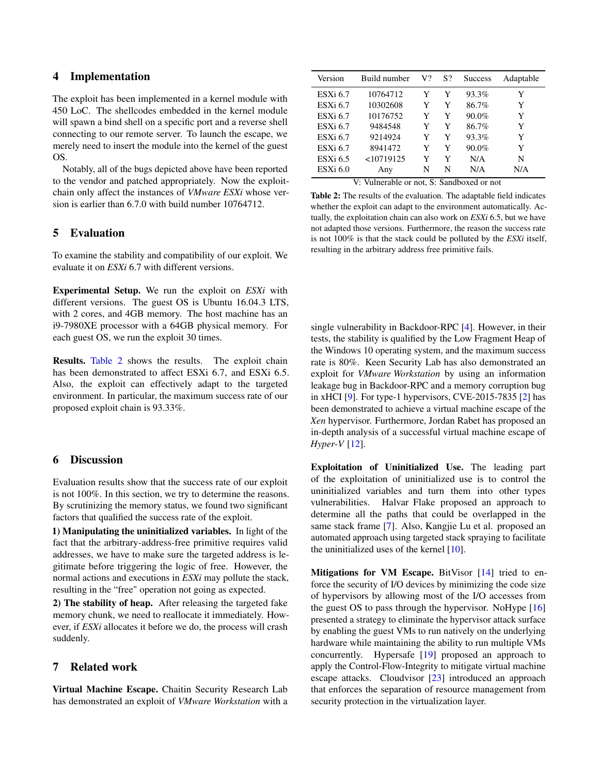### 4 Implementation

The exploit has been implemented in a kernel module with 450 LoC. The shellcodes embedded in the kernel module will spawn a bind shell on a specific port and a reverse shell connecting to our remote server. To launch the escape, we merely need to insert the module into the kernel of the guest OS.

Notably, all of the bugs depicted above have been reported to the vendor and patched appropriately. Now the exploitchain only affect the instances of *VMware ESXi* whose version is earlier than 6.7.0 with build number 10764712.

## 5 Evaluation

To examine the stability and compatibility of our exploit. We evaluate it on *ESXi* 6.7 with different versions.

Experimental Setup. We run the exploit on *ESXi* with different versions. The guest OS is Ubuntu 16.04.3 LTS, with 2 cores, and 4GB memory. The host machine has an i9-7980XE processor with a 64GB physical memory. For each guest OS, we run the exploit 30 times.

Results. [Table 2](#page-7-0) shows the results. The exploit chain has been demonstrated to affect ESXi 6.7, and ESXi 6.5. Also, the exploit can effectively adapt to the targeted environment. In particular, the maximum success rate of our proposed exploit chain is 93.33%.

### 6 Discussion

Evaluation results show that the success rate of our exploit is not 100%. In this section, we try to determine the reasons. By scrutinizing the memory status, we found two significant factors that qualified the success rate of the exploit.

1) Manipulating the uninitialized variables. In light of the fact that the arbitrary-address-free primitive requires valid addresses, we have to make sure the targeted address is legitimate before triggering the logic of free. However, the normal actions and executions in *ESXi* may pollute the stack, resulting in the "free" operation not going as expected.

2) The stability of heap. After releasing the targeted fake memory chunk, we need to reallocate it immediately. However, if *ESXi* allocates it before we do, the process will crash suddenly.

### 7 Related work

Virtual Machine Escape. Chaitin Security Research Lab has demonstrated an exploit of *VMware Workstation* with a

<span id="page-7-0"></span>

| Build number | V? | S? | <b>Success</b> | Adaptable |
|--------------|----|----|----------------|-----------|
| 10764712     | Y  | Y  | 93.3%          | Y         |
| 10302608     | Y  | Y  | 86.7%          | Y         |
| 10176752     | Y  | Y  | 90.0%          | Y         |
| 9484548      | Y  | Y  | 86.7%          | Y         |
| 9214924      | Y  | Y  | 93.3%          | Y         |
| 8941472      | Y  | Y  | 90.0%          | Y         |
| $<$ 10719125 | Y  | Y  | N/A            | N         |
| Any          | N  | N  | N/A            | N/A       |
|              |    |    |                |           |

V: Vulnerable or not, S: Sandboxed or not

Table 2: The results of the evaluation. The adaptable field indicates whether the exploit can adapt to the environment automatically. Actually, the exploitation chain can also work on *ESXi* 6.5, but we have not adapted those versions. Furthermore, the reason the success rate is not 100% is that the stack could be polluted by the *ESXi* itself, resulting in the arbitrary address free primitive fails.

single vulnerability in Backdoor-RPC [\[4\]](#page-8-13). However, in their tests, the stability is qualified by the Low Fragment Heap of the Windows 10 operating system, and the maximum success rate is 80%. Keen Security Lab has also demonstrated an exploit for *VMware Workstation* by using an information leakage bug in Backdoor-RPC and a memory corruption bug in xHCI [\[9\]](#page-8-14). For type-1 hypervisors, CVE-2015-7835 [\[2\]](#page-8-15) has been demonstrated to achieve a virtual machine escape of the *Xen* hypervisor. Furthermore, Jordan Rabet has proposed an in-depth analysis of a successful virtual machine escape of *Hyper-V* [\[12\]](#page-8-16).

Exploitation of Uninitialized Use. The leading part of the exploitation of uninitialized use is to control the uninitialized variables and turn them into other types vulnerabilities. Halvar Flake proposed an approach to determine all the paths that could be overlapped in the same stack frame [\[7\]](#page-8-17). Also, Kangjie Lu et al. proposed an automated approach using targeted stack spraying to facilitate the uninitialized uses of the kernel [\[10\]](#page-8-18).

Mitigations for VM Escape. BitVisor [\[14\]](#page-8-19) tried to enforce the security of I/O devices by minimizing the code size of hypervisors by allowing most of the I/O accesses from the guest OS to pass through the hypervisor. NoHype [\[16\]](#page-8-20) presented a strategy to eliminate the hypervisor attack surface by enabling the guest VMs to run natively on the underlying hardware while maintaining the ability to run multiple VMs concurrently. Hypersafe [\[19\]](#page-8-21) proposed an approach to apply the Control-Flow-Integrity to mitigate virtual machine escape attacks. Cloudvisor [\[23\]](#page-8-22) introduced an approach that enforces the separation of resource management from security protection in the virtualization layer.